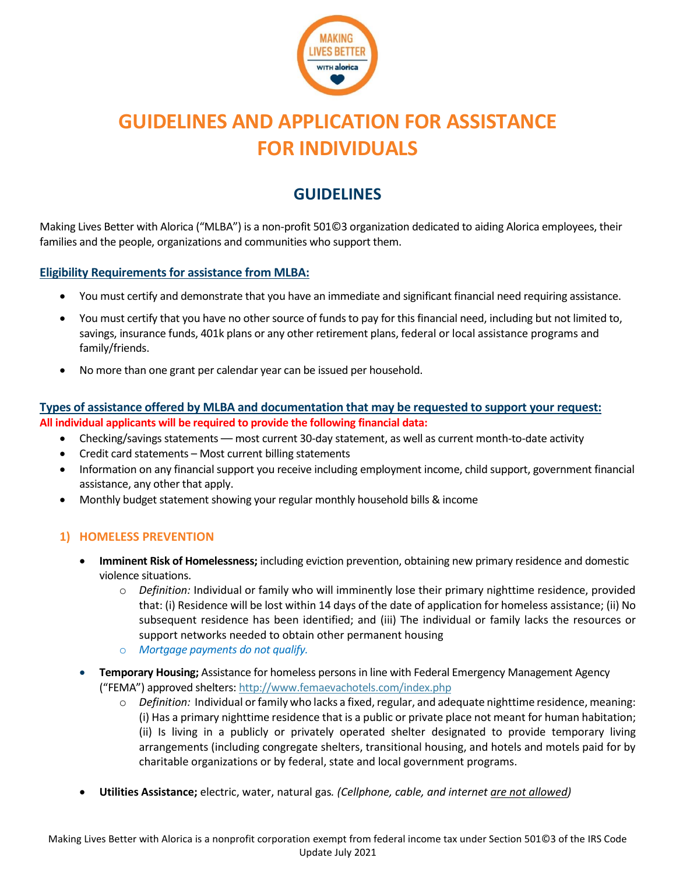

# **GUIDELINES AND APPLICATION FOR ASSISTANCE FOR INDIVIDUALS**

## **GUIDELINES**

Making Lives Better with Alorica ("MLBA") is a non-profit 501©3 organization dedicated to aiding Alorica employees, their families and the people, organizations and communities who support them.

## **Eligibility Requirements for assistance from MLBA:**

- You must certify and demonstrate that you have an immediate and significant financial need requiring assistance.
- You must certify that you have no other source of funds to pay for this financial need, including but not limited to, savings, insurance funds, 401k plans or any other retirement plans, federal or local assistance programs and family/friends.
- No more than one grant per calendar year can be issued per household.

## **Types of assistance offered by MLBA and documentation that may be requested to support your request: All individual applicants will be required to provide the following financial data:**

- Checking/savings statements most current 30-day statement, as well as current month-to-date activity
- Credit card statements Most current billing statements
- Information on any financial support you receive including employment income, child support, government financial assistance, any other that apply.
- Monthly budget statement showing your regular monthly household bills & income

## **1) HOMELESS PREVENTION**

- **Imminent Risk of Homelessness;** including eviction prevention, obtaining new primary residence and domestic violence situations.
	- o *Definition:* Individual or family who will imminently lose their primary nighttime residence, provided that: (i) Residence will be lost within 14 days of the date of application for homeless assistance; (ii) No subsequent residence has been identified; and (iii) The individual or family lacks the resources or support networks needed to obtain other permanent housing
	- o *Mortgage payments do not qualify.*
- **Temporary Housing;** Assistance for homeless persons in line with Federal Emergency Management Agency ("FEMA") approved shelters: <http://www.femaevachotels.com/index.php>
	- o *Definition:* Individual or family who lacks a fixed, regular, and adequate nighttime residence, meaning: (i) Has a primary nighttime residence that is a public or private place not meant for human habitation; (ii) Is living in a publicly or privately operated shelter designated to provide temporary living arrangements (including congregate shelters, transitional housing, and hotels and motels paid for by charitable organizations or by federal, state and local government programs.
- **Utilities Assistance;** electric, water, natural gas*. (Cellphone, cable, and internet are not allowed)*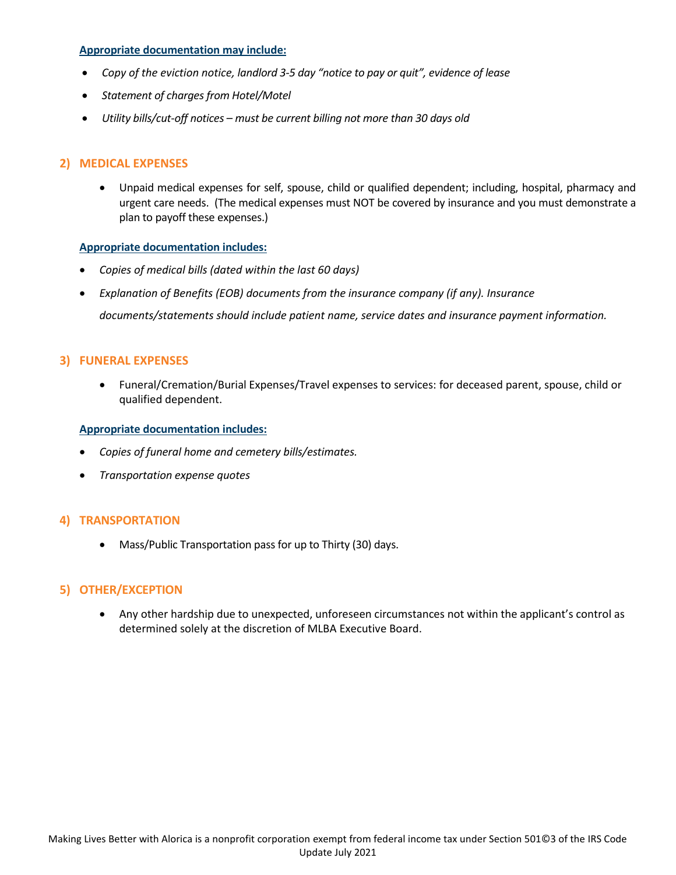#### **Appropriate documentation may include:**

- *Copy of the eviction notice, landlord 3-5 day "notice to pay or quit", evidence of lease*
- *Statement of charges from Hotel/Motel*
- *Utility bills/cut-off notices – must be current billing not more than 30 days old*

## **2) MEDICAL EXPENSES**

• Unpaid medical expenses for self, spouse, child or qualified dependent; including, hospital, pharmacy and urgent care needs. (The medical expenses must NOT be covered by insurance and you must demonstrate a plan to payoff these expenses.)

#### **Appropriate documentation includes:**

- *Copies of medical bills (dated within the last 60 days)*
- *Explanation of Benefits (EOB) documents from the insurance company (if any). Insurance*

*documents/statements should include patient name, service dates and insurance payment information.*

#### **3) FUNERAL EXPENSES**

• Funeral/Cremation/Burial Expenses/Travel expenses to services: for deceased parent, spouse, child or qualified dependent.

#### **Appropriate documentation includes:**

- *Copies of funeral home and cemetery bills/estimates.*
- *Transportation expense quotes*

## **4) TRANSPORTATION**

• Mass/Public Transportation pass for up to Thirty (30) days.

## **5) OTHER/EXCEPTION**

• Any other hardship due to unexpected, unforeseen circumstances not within the applicant's control as determined solely at the discretion of MLBA Executive Board.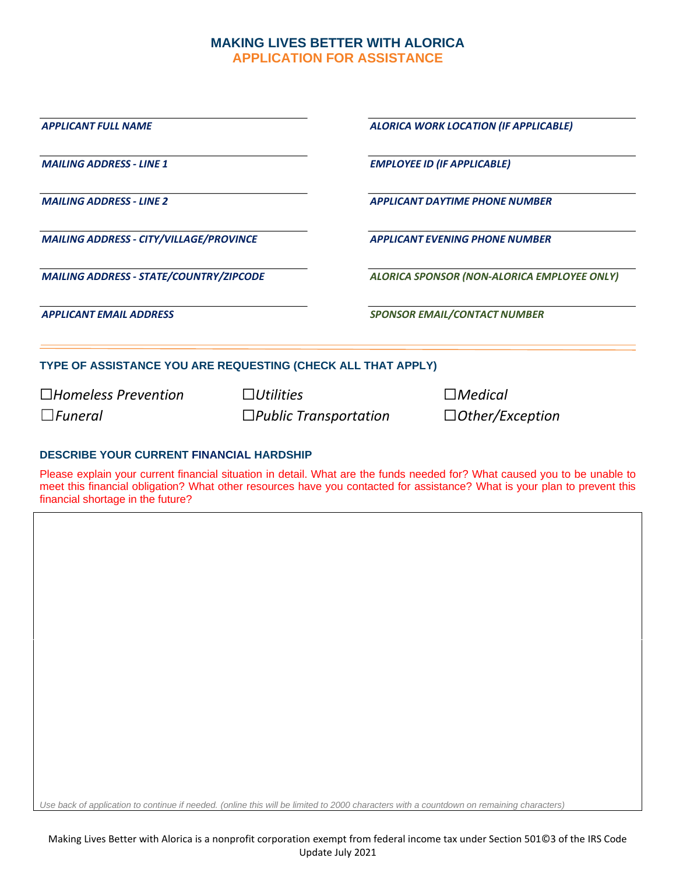## **MAKING LIVES BETTER WITH ALORICA APPLICATION FOR ASSISTANCE**

| <b>APPLICANT FULL NAME</b>                                   | ALORICA WORK LOCATION (IF APPLICABLE)       |
|--------------------------------------------------------------|---------------------------------------------|
| <b>MAILING ADDRESS - LINE 1</b>                              | <b>EMPLOYEE ID (IF APPLICABLE)</b>          |
| <b>MAILING ADDRESS - LINE 2</b>                              | <b>APPLICANT DAYTIME PHONE NUMBER</b>       |
| <b>MAILING ADDRESS - CITY/VILLAGE/PROVINCE</b>               | <b>APPLICANT EVENING PHONE NUMBER</b>       |
| <b>MAILING ADDRESS - STATE/COUNTRY/ZIPCODE</b>               | ALORICA SPONSOR (NON-ALORICA EMPLOYEE ONLY) |
| <b>APPLICANT EMAIL ADDRESS</b>                               | <b>SPONSOR EMAIL/CONTACT NUMBER</b>         |
| TYPE OF ASSISTANCE YOU ARE REQUESTING (CHECK ALL THAT APPLY) |                                             |
| $\Box$ Homeless Prevention                                   | $\Box$ <i>Utilities</i><br>$\Box$ Medical   |

## **DESCRIBE YOUR CURRENT FINANCIAL HARDSHIP**

Please explain your current financial situation in detail. What are the funds needed for? What caused you to be unable to meet this financial obligation? What other resources have you contacted for assistance? What is your plan to prevent this financial shortage in the future?

☐*Funeral* ☐*Public Transportation* ☐*Other/Exception*

*Use back of application to continue if needed. (online this will be limited to 2000 characters with a countdown on remaining characters)*